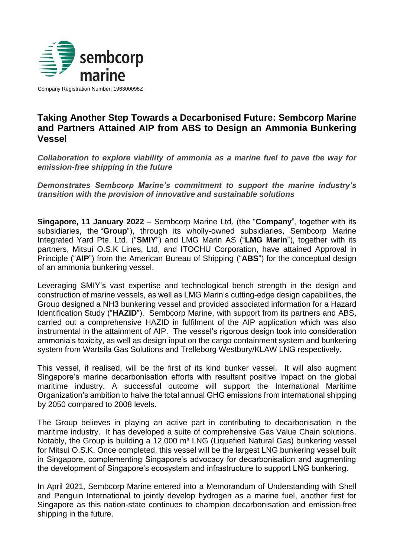

Company Registration Number: 196300098Z

## **Taking Another Step Towards a Decarbonised Future: Sembcorp Marine and Partners Attained AIP from ABS to Design an Ammonia Bunkering Vessel**

*Collaboration to explore viability of ammonia as a marine fuel to pave the way for emission-free shipping in the future*

*Demonstrates Sembcorp Marine's commitment to support the marine industry's transition with the provision of innovative and sustainable solutions*

**Singapore, 11 January 2022** – Sembcorp Marine Ltd. (the "**Company**", together with its subsidiaries, the "**Group**"), through its wholly-owned subsidiaries, Sembcorp Marine Integrated Yard Pte. Ltd. ("**SMIY**") and LMG Marin AS ("**LMG Marin**"), together with its partners, Mitsui O.S.K Lines, Ltd, and ITOCHU Corporation, have attained Approval in Principle ("**AIP**") from the American Bureau of Shipping ("**ABS**") for the conceptual design of an ammonia bunkering vessel.

Leveraging SMIY's vast expertise and technological bench strength in the design and construction of marine vessels, as well as LMG Marin's cutting-edge design capabilities, the Group designed a NH3 bunkering vessel and provided associated information for a Hazard Identification Study ("**HAZID**"). Sembcorp Marine, with support from its partners and ABS, carried out a comprehensive HAZID in fulfilment of the AIP application which was also instrumental in the attainment of AIP. The vessel's rigorous design took into consideration ammonia's toxicity, as well as design input on the cargo containment system and bunkering system from Wartsila Gas Solutions and Trelleborg Westbury/KLAW LNG respectively.

This vessel, if realised, will be the first of its kind bunker vessel. It will also augment Singapore's marine decarbonisation efforts with resultant positive impact on the global maritime industry. A successful outcome will support the International Maritime Organization's ambition to halve the total annual GHG emissions from international shipping by 2050 compared to 2008 levels.

The Group believes in playing an active part in contributing to decarbonisation in the maritime industry. It has developed a suite of comprehensive Gas Value Chain solutions. Notably, the Group is building a 12,000 m<sup>3</sup> LNG (Liquefied Natural Gas) bunkering vessel for Mitsui O.S.K. Once completed, this vessel will be the largest LNG bunkering vessel built in Singapore, complementing Singapore's advocacy for decarbonisation and augmenting the development of Singapore's ecosystem and infrastructure to support LNG bunkering.

In April 2021, Sembcorp Marine entered into a Memorandum of Understanding with Shell and Penguin International to jointly develop hydrogen as a marine fuel, another first for Singapore as this nation-state continues to champion decarbonisation and emission-free shipping in the future.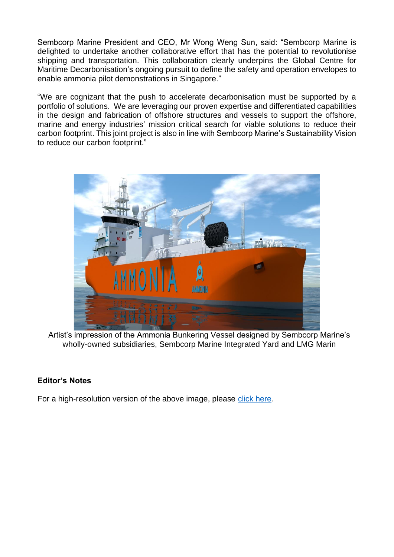Sembcorp Marine President and CEO, Mr Wong Weng Sun, said: "Sembcorp Marine is delighted to undertake another collaborative effort that has the potential to revolutionise shipping and transportation. This collaboration clearly underpins the Global Centre for Maritime Decarbonisation's ongoing pursuit to define the safety and operation envelopes to enable ammonia pilot demonstrations in Singapore."

"We are cognizant that the push to accelerate decarbonisation must be supported by a portfolio of solutions. We are leveraging our proven expertise and differentiated capabilities in the design and fabrication of offshore structures and vessels to support the offshore, marine and energy industries' mission critical search for viable solutions to reduce their carbon footprint. This joint project is also in line with Sembcorp Marine's Sustainability Vision to reduce our carbon footprint."



Artist's impression of the Ammonia Bunkering Vessel designed by Sembcorp Marine's wholly-owned subsidiaries, Sembcorp Marine Integrated Yard and LMG Marin

## **Editor's Notes**

For a high-resolution version of the above image, please [click here.](https://drive.google.com/file/d/1_s8tMjmpoMHmFhvAlkHzGmdg0YtQ5_5E/view?usp=sharing)